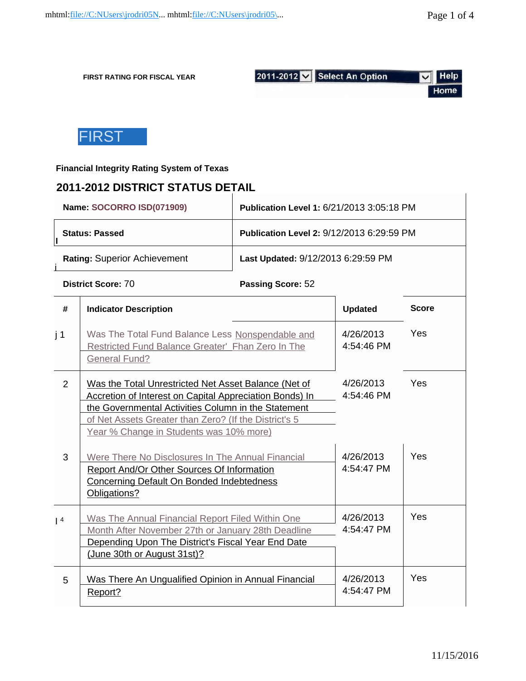$\mathbf{I}$ 

**FIRST RATING FOR FISCAL YEAR**



## **Financial Integrity Rating System of Texas**

# **2011-2012 DISTRICT STATUS DETAIL**

|     | Name: SOCORRO ISD(071909)                                                                             | Publication Level 1: 6/21/2013 3:05:18 PM        |                                       |              |  |  |
|-----|-------------------------------------------------------------------------------------------------------|--------------------------------------------------|---------------------------------------|--------------|--|--|
|     | <b>Status: Passed</b>                                                                                 | <b>Publication Level 2: 9/12/2013 6:29:59 PM</b> |                                       |              |  |  |
|     | <b>Rating: Superior Achievement</b>                                                                   | Last Updated: 9/12/2013 6:29:59 PM               |                                       |              |  |  |
|     | District Score: 70                                                                                    | Passing Score: 52                                |                                       |              |  |  |
| #   | <b>Indicator Description</b>                                                                          |                                                  | <b>Updated</b>                        | <b>Score</b> |  |  |
| j 1 | Was The Total Fund Balance Less Nonspendable and<br>Poetricted Fund Ralance Creater' Eban Zero In The |                                                  | 4/26/2013<br>$A \cdot 5A \cdot 4B$ DM | Yes          |  |  |

|                | Restricted Fund Balance Greater' Fhan Zero In The<br><b>General Fund?</b>                                                                                                                                                                                                         | 4:54:46 PM              |            |
|----------------|-----------------------------------------------------------------------------------------------------------------------------------------------------------------------------------------------------------------------------------------------------------------------------------|-------------------------|------------|
| $\overline{2}$ | Was the Total Unrestricted Net Asset Balance (Net of<br><b>Accretion of Interest on Capital Appreciation Bonds) In</b><br>the Governmental Activities Column in the Statement<br>of Net Assets Greater than Zero? (If the District's 5<br>Year % Change in Students was 10% more) | 4/26/2013<br>4:54:46 PM | <b>Yes</b> |
| 3              | Were There No Disclosures In The Annual Financial<br><b>Report And/Or Other Sources Of Information</b><br><b>Concerning Default On Bonded Indebtedness</b><br>Obligations?                                                                                                        | 4/26/2013<br>4:54:47 PM | Yes        |
| $\vert 4$      | Was The Annual Financial Report Filed Within One<br>Month After November 27th or January 28th Deadline<br>Depending Upon The District's Fiscal Year End Date<br>(June 30th or August 31st)?                                                                                       | 4/26/2013<br>4:54:47 PM | <b>Yes</b> |
| 5              | Was There An Ungualified Opinion in Annual Financial<br>Report?                                                                                                                                                                                                                   | 4/26/2013<br>4:54:47 PM | <b>Yes</b> |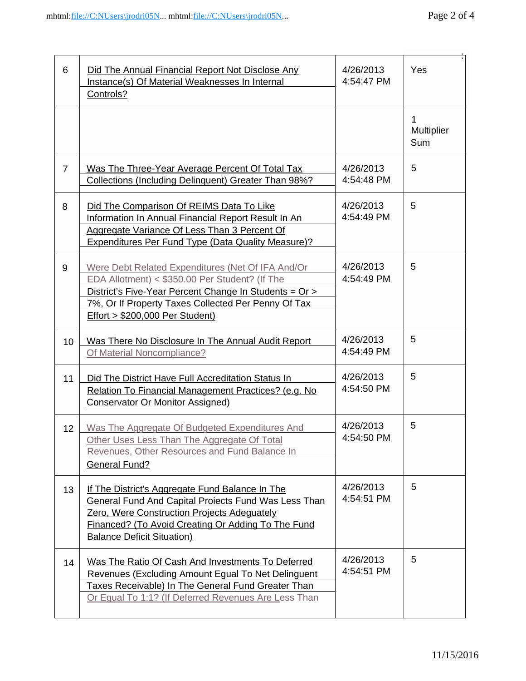ř.

:

| 6              | Did The Annual Financial Report Not Disclose Any<br>Instance(s) Of Material Weaknesses In Internal<br>Controls?                                                                                                                                                   | 4/26/2013<br>4:54:47 PM | Yes                    |
|----------------|-------------------------------------------------------------------------------------------------------------------------------------------------------------------------------------------------------------------------------------------------------------------|-------------------------|------------------------|
|                |                                                                                                                                                                                                                                                                   |                         | 1<br>Multiplier<br>Sum |
| $\overline{7}$ | Was The Three-Year Average Percent Of Total Tax<br>Collections (Including Delinquent) Greater Than 98%?                                                                                                                                                           | 4/26/2013<br>4:54:48 PM | 5                      |
| 8              | Did The Comparison Of REIMS Data To Like<br>Information In Annual Financial Report Result In An<br>Aggregate Variance Of Less Than 3 Percent Of<br><b>Expenditures Per Fund Type (Data Quality Measure)?</b>                                                      | 4/26/2013<br>4:54:49 PM | 5                      |
| 9              | Were Debt Related Expenditures (Net Of IFA And/Or<br>EDA Allotment) < \$350.00 Per Student? (If The<br>District's Five-Year Percent Change In Students = Or ><br>7%, Or If Property Taxes Collected Per Penny Of Tax<br><b>Effort &gt; \$200,000 Per Student)</b> | 4/26/2013<br>4:54:49 PM | 5                      |
| 10             | Was There No Disclosure In The Annual Audit Report<br>Of Material Noncompliance?                                                                                                                                                                                  | 4/26/2013<br>4:54:49 PM | 5                      |
| 11             | Did The District Have Full Accreditation Status In<br>Relation To Financial Management Practices? (e.g. No<br><b>Conservator Or Monitor Assigned)</b>                                                                                                             | 4/26/2013<br>4:54:50 PM | 5                      |
| 12             | Was The Aggregate Of Budgeted Expenditures And<br>Other Uses Less Than The Aggregate Of Total<br>Revenues, Other Resources and Fund Balance In<br><b>General Fund?</b>                                                                                            | 4/26/2013<br>4:54:50 PM | 5                      |
| 13             | If The District's Aggregate Fund Balance In The<br><b>General Fund And Capital Projects Fund Was Less Than</b><br>Zero, Were Construction Projects Adequately<br>Financed? (To Avoid Creating Or Adding To The Fund<br><b>Balance Deficit Situation)</b>          | 4/26/2013<br>4:54:51 PM | 5                      |
| 14             | Was The Ratio Of Cash And Investments To Deferred<br>Revenues (Excluding Amount Egual To Net Delinguent<br>Taxes Receivable) In The General Fund Greater Than<br>Or Equal To 1:1? (If Deferred Revenues Are Less Than                                             | 4/26/2013<br>4:54:51 PM | 5                      |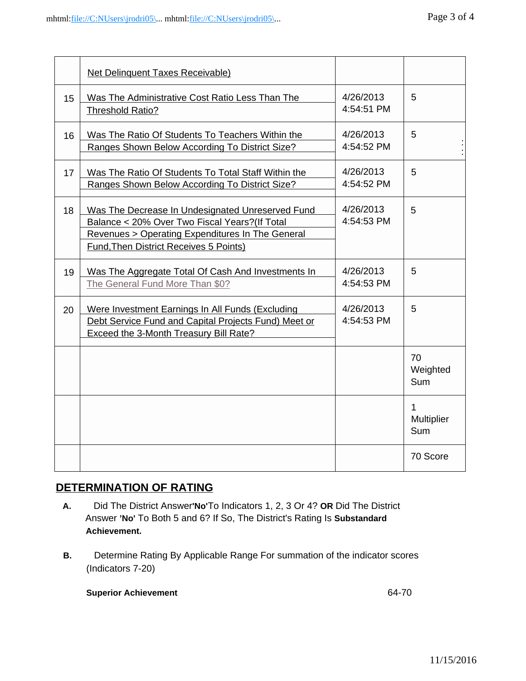|    | <b>Net Delinquent Taxes Receivable)</b>                                                                                                                                                          |                         |                        |
|----|--------------------------------------------------------------------------------------------------------------------------------------------------------------------------------------------------|-------------------------|------------------------|
| 15 | Was The Administrative Cost Ratio Less Than The<br>Threshold Ratio?                                                                                                                              | 4/26/2013<br>4:54:51 PM | 5                      |
| 16 | Was The Ratio Of Students To Teachers Within the<br>Ranges Shown Below According To District Size?                                                                                               | 4/26/2013<br>4:54:52 PM | 5                      |
| 17 | Was The Ratio Of Students To Total Staff Within the<br>Ranges Shown Below According To District Size?                                                                                            | 4/26/2013<br>4:54:52 PM | 5                      |
| 18 | Was The Decrease In Undesignated Unreserved Fund<br>Balance < 20% Over Two Fiscal Years? (If Total<br>Revenues > Operating Expenditures In The General<br>Fund, Then District Receives 5 Points) | 4/26/2013<br>4:54:53 PM | 5                      |
| 19 | Was The Aggregate Total Of Cash And Investments In<br>The General Fund More Than \$0?                                                                                                            | 4/26/2013<br>4:54:53 PM | 5                      |
| 20 | Were Investment Earnings In All Funds (Excluding<br>Debt Service Fund and Capital Projects Fund) Meet or<br><b>Exceed the 3-Month Treasury Bill Rate?</b>                                        | 4/26/2013<br>4:54:53 PM | 5                      |
|    |                                                                                                                                                                                                  |                         | 70<br>Weighted<br>Sum  |
|    |                                                                                                                                                                                                  |                         | 1<br>Multiplier<br>Sum |
|    |                                                                                                                                                                                                  |                         | 70 Score               |

# **DETERMINATION OF RATING**

- **A.** Did The District Answer**'No'**To Indicators 1, 2, 3 Or 4? **OR** Did The District Answer **'No'** To Both 5 and 6? If So, The District's Rating Is **Substandard Achievement.**
- **B.** Determine Rating By Applicable Range For summation of the indicator scores (Indicators 7-20)

# **Superior Achievement 64-70**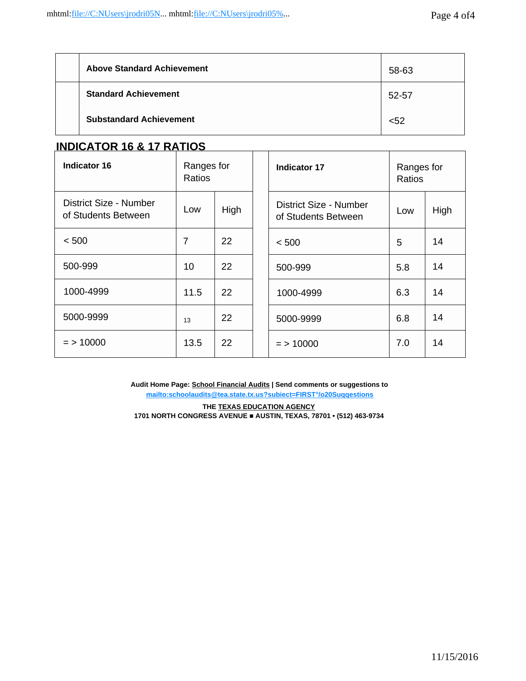| <b>Above Standard Achievement</b> | 58-63 |
|-----------------------------------|-------|
| <b>Standard Achievement</b>       | 52-57 |
| <b>Substandard Achievement</b>    | $52$  |

# **INDICATOR 16 & 17 RATIOS**

| Ranges for<br>Indicator 16<br>Ratios          |      | <b>Indicator 17</b> | Ranges for<br>Ratios                          |     |      |
|-----------------------------------------------|------|---------------------|-----------------------------------------------|-----|------|
| District Size - Number<br>of Students Between | Low  | High                | District Size - Number<br>of Students Between | Low | High |
| < 500                                         | 7    | 22                  | < 500                                         | 5   | 14   |
| 500-999                                       | 10   | 22                  | 500-999                                       | 5.8 | 14   |
| 1000-4999                                     | 11.5 | 22                  | 1000-4999                                     | 6.3 | 14   |
| 5000-9999                                     | 13   | 22                  | 5000-9999                                     | 6.8 | 14   |
| $=$ > 10000                                   | 13.5 | 22                  | $=$ > 10000                                   | 7.0 | 14   |

**Audit Home Page: School Financial Audits | Send comments or suggestions to [mailto:schoolaudits@tea.state.tx.us?subiect=FIRST°/o20Suqqestions](mailto:schoolaudits@tea.state.tx.us?subiect=FIRST%25c2%25b0/o20Suqqestions)**

**THE TEXAS EDUCATION AGENCY 1701 NORTH CONGRESS AVENUE ■ AUSTIN, TEXAS, 78701 • (512) 463-9734**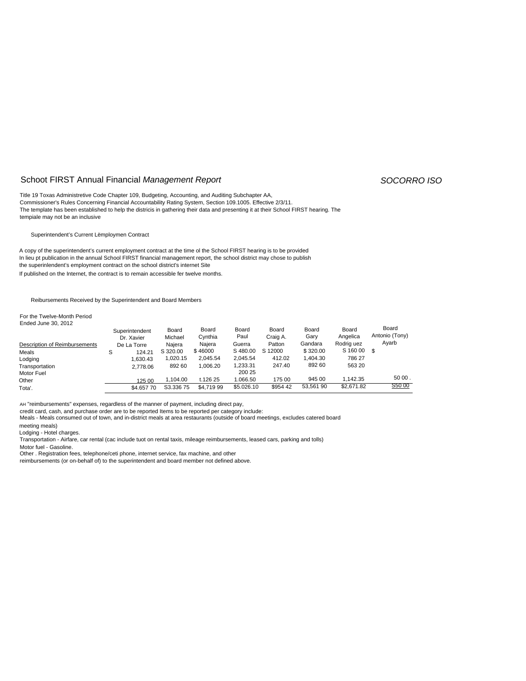### Schoot FIRST Annual Financial *Management Report SOCORRO ISO*

Title 19 Toxas Administretive Code Chapter 109, Budgeting, Accounting, and Auditing Subchapter AA, Commissioner's Rules Concerning Financial Accountability Rating System, Section 109.1005. Effective 2/3/11. The template has been established to help the districis in gathering their data and presenting it at their School FIRST hearing. The tempiale may not be an inclusive

Superintendent's Current Lëmploymen Contract

A copy of the superintendent's current employment contract at the time ol the School FIRST hearing is to be provided In lieu pt publication in the annual School FIRST financial management report, the school district may chose to publish the superinlendent's employment contract on the school district's internet Site If published on the Internet, the contract is to remain accessible fer twelve months.

Reibursements Received by the Superintendent and Board Members

For the Twelve-Month Period Ended June 30, 2012

| LINGU JUNG JU. ZUTZ           | Superintendent<br>Dr. Xavier | Board<br>Michael | Board<br>Cynthia | Board<br>Paul | Board<br>Craig A. | Board<br>Gary | Board<br>Angelica | Board<br>Antonio (Tony) |
|-------------------------------|------------------------------|------------------|------------------|---------------|-------------------|---------------|-------------------|-------------------------|
| Description of Reimbursements | De La Torre                  | Naiera           | Najera           | Guerra        | Patton            | Gandara       | Rodrig uez        | Ayarb                   |
| Meals                         | 124.21<br>S                  | S 320.00         | \$46000          | S480.00       | S 12000           | \$320.00      | S 160 00          | \$.                     |
| Lodging                       | 1.630.43                     | 1,020.15         | 2.045.54         | 2,045.54      | 412.02            | 1.404.30      | 786 27            |                         |
| Transportation                | 2.778.06                     | 892 60           | .006.20          | 1,233.31      | 247.40            | 892 60        | 563 20            |                         |
| Motor Fuel                    |                              |                  |                  | 200 25        |                   |               |                   |                         |
| Other                         | 125 00                       | 1.104.00         | t.126 25         | 1.066.50      | 175 00            | 945 00        | 1.142.35          | 50 00.                  |
| Tota'.                        | \$4,657 70                   | S3.33675         | \$4.719 99       | \$5.026.10    | \$954 42          | 53.561 90     | \$2,671.82        | S50 00                  |

AH "reimbursements" expenses, regardless of the manner of payment, including direct pay,

credit card, cash, and purchase order are to be reported Items to be reported per category include:

Meals - Meals consumed out of town, and in-district meals at area restaurants (outside of board meetings, excludes catered board

meeting meals)

Lodging - Hotel charges.

Transportation - Airfare, car rental (cac include tuot on rental taxis, mileage reimbursements, leased cars, parking and tolls)

Motor fuel - Gasoline.

Other . Registration fees, telephone/ceti phone, internet service, fax machine, and other

reimbursements (or on-behalf of) to the superintendent and board member not defined above.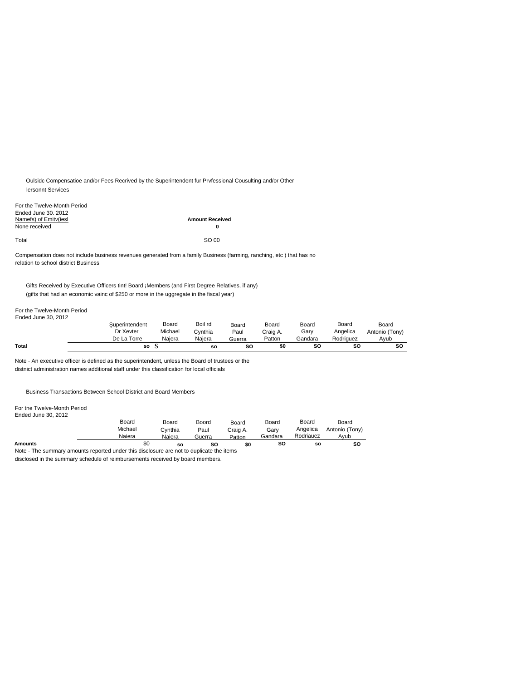Oulsidc Compensatioe and/or Fees Recrived by the Superintendent fur Prvfessional Cousulting and/or Other lersonnt Services

| For the Twelve-Month Period<br>Ended June 30, 2012 |                             |
|----------------------------------------------------|-----------------------------|
| Namefs) of Emity(iesl<br>None received             | <b>Amount Received</b><br>0 |
| Total                                              | SO 00                       |

Compensation does not include business revenues generated from a family Business (farming, ranching, etc ) that has no relation to school district Business

Gifts Received by Executive Officers tint! Board ¡Members (and First Degree Relatives, if any) (gifts that had an economic vainc of \$250 or more in the uggregate in the fiscal year)

### For the Twelve-Month Period Ended June 30, 2012

| Total                 | so                                        |                            | <b>SO</b>                    | so                      | \$0                         | so                       | so                             | so                              |
|-----------------------|-------------------------------------------|----------------------------|------------------------------|-------------------------|-----------------------------|--------------------------|--------------------------------|---------------------------------|
| Elided Julie 30, 2012 | uperintendent<br>Dr Xevter<br>De La Torre | Board<br>Michael<br>Naiera | Boil rd<br>Cvnthia<br>Naiera | Board<br>Paul<br>Guerra | Board<br>Craig A.<br>Patton | Board<br>Garv<br>Gandara | Board<br>Angelica<br>Rodriguez | Board<br>Antonio (Tony)<br>Avub |
|                       |                                           |                            |                              |                         |                             |                          |                                |                                 |

Note - An executive officer is defined as the superintendent, unless the Board of trustees or the distnict administration names additional staff under this classification for local officials

Business Transactions Between School District and Board Members

For tne Twelve-Month Period Ended June 30, 2012

|                                                                                          | Board<br>Michael | Board<br>Cvnthia | Boord<br>Paul | Board<br>Craig A. | Board<br>Garv | Board<br>Angelica | Board<br>Antonio (Tony) |  |
|------------------------------------------------------------------------------------------|------------------|------------------|---------------|-------------------|---------------|-------------------|-------------------------|--|
|                                                                                          | Naiera           | Naiera           | Guerra        | Patton            | Gandara       | Rodriauez         | Avub                    |  |
| <b>Amounts</b>                                                                           | \$0              | so               | SΟ            | \$O               | SC            | so                | so                      |  |
| Note - The summary amounts reported under this disclosure are not to duplicate the items |                  |                  |               |                   |               |                   |                         |  |

disclosed in the summary schedule of reimbursements received by board members.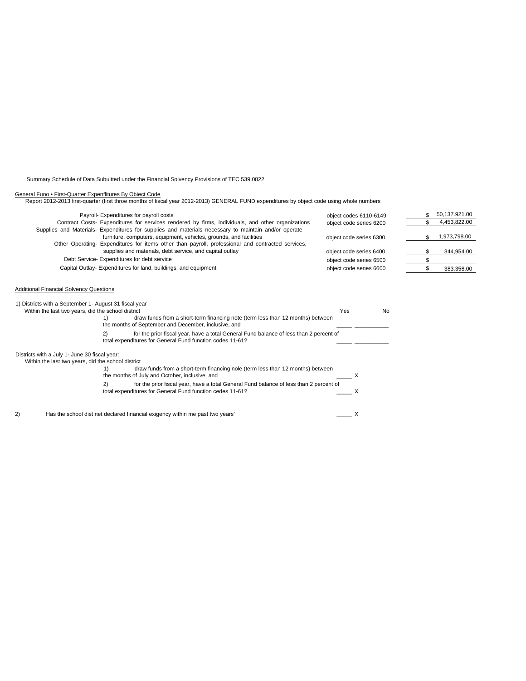Summary Schedule of Data Subuitted under the Financial Solvency Provisions of TEC 539.0822

General Funo • First-Quarter Expenflitures By Obiect Code Report 2012-2013 first-quarter (first throe months of fiscal year 2012-2013) GENERAL FUND expenditures by object code using whole numbers

| Payroll- Expenditures for payroll costs                                                              | object codes 6110-6149  | 50,137.921.00 |
|------------------------------------------------------------------------------------------------------|-------------------------|---------------|
| Contract Costs- Expenditures for services rendered by firms, individuals, and other organizations    | object code series 6200 | 4,453,822.00  |
| Supplies and Materials- Expenditures for supplies and materials necessary to maintain and/or operate |                         |               |
| furniture, computers, equipment, vehicles, grounds, and facilities                                   | object code series 6300 | 1,973,798.00  |
| Other Operating- Expenditures for items other than payroll, professional and contracted services,    |                         |               |
| supplies and matenals, debt service, and capital outlay                                              | object code series 6400 | 344,954.00    |
| Debt Service- Expenditures for debt service                                                          | object code series 6500 |               |
| Capital Outlay-Expenditures for land, buildings, and equipment                                       | object code senes 6600  | 383.358.00    |
|                                                                                                      |                         |               |
|                                                                                                      |                         |               |

### Additional Financial Solvency Questions

|    | 1) Districts with a September 1- August 31 fiscal year<br>Within the last two years, did the school district                                              | Yes | No |
|----|-----------------------------------------------------------------------------------------------------------------------------------------------------------|-----|----|
|    | draw funds from a short-term financing note (term less than 12 months) between<br>the months of September and December, inclusive, and                    |     |    |
|    | for the prior fiscal year, have a total General Fund balance of less than 2 percent of<br>2)<br>total expenditures for General Fund function codes 11-61? |     |    |
|    | Districts with a July 1- June 30 fiscal year:<br>Within the last two years, did the school district                                                       |     |    |
|    | draw funds from a short-term financing nole (term less than 12 months) between<br>the months of July and October, inclusive, and                          |     |    |
|    | for the prior fiscal year, have a total General Fund balance of less than 2 percent of<br>2)<br>total expenditures for General Fund function cedes 11-61? |     |    |
| 2) | Has the school dist net declared financial exigency within me past two years'                                                                             |     |    |